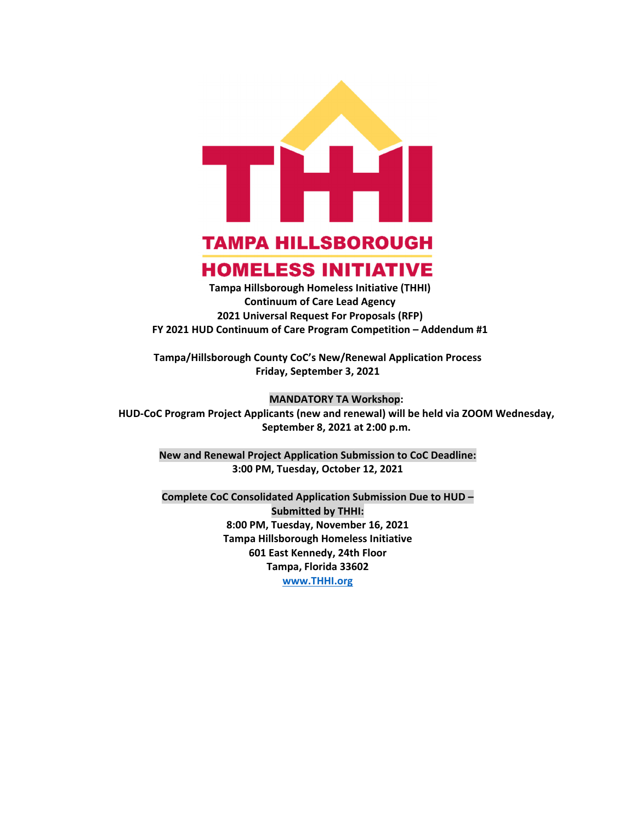

# **TAMPA HILLSBOROUGH HOMELESS INITIATIVE**

**Tampa Hillsborough Homeless Initiative (THHI) Continuum of Care Lead Agency 2021 Universal Request For Proposals (RFP) FY 2021 HUD Continuum of Care Program Competition – Addendum #1**

**Tampa/Hillsborough County CoC's New/Renewal Application Process Friday, September 3, 2021**

#### **MANDATORY TA Workshop:**

**HUD‐CoC Program Project Applicants (new and renewal) will be held via ZOOM Wednesday, September 8, 2021 at 2:00 p.m.**

**New and Renewal Project Application Submission to CoC Deadline: 3:00 PM, Tuesday, October 12, 2021**

**Complete CoC Consolidated Application Submission Due to HUD – Submitted by THHI: 8:00 PM, Tuesday, November 16, 2021 Tampa Hillsborough Homeless Initiative 601 East Kennedy, 24th Floor Tampa, Florida 33602 www.THHI.org**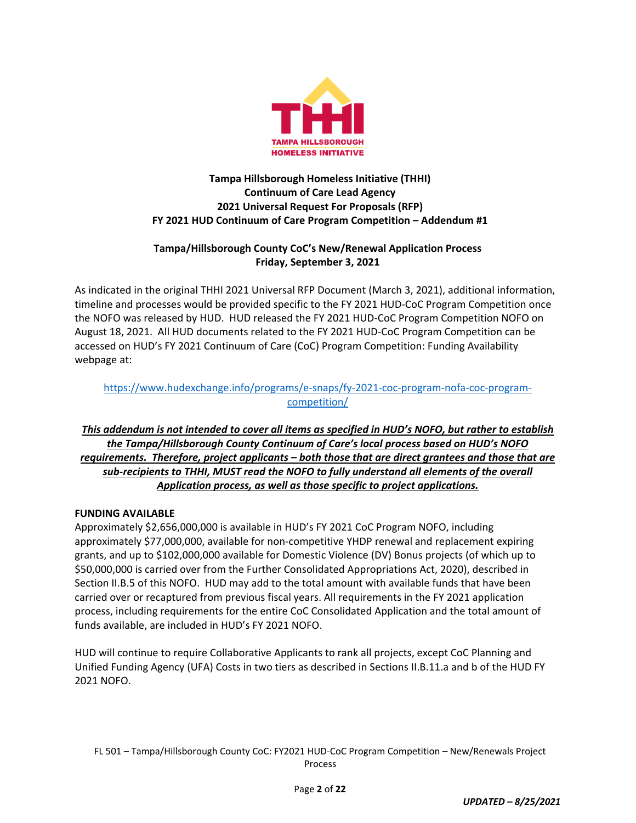

# **Tampa Hillsborough Homeless Initiative (THHI) Continuum of Care Lead Agency 2021 Universal Request For Proposals (RFP) FY 2021 HUD Continuum of Care Program Competition – Addendum #1**

# **Tampa/Hillsborough County CoC's New/Renewal Application Process Friday, September 3, 2021**

As indicated in the original THHI 2021 Universal RFP Document (March 3, 2021), additional information, timeline and processes would be provided specific to the FY 2021 HUD‐CoC Program Competition once the NOFO was released by HUD. HUD released the FY 2021 HUD‐CoC Program Competition NOFO on August 18, 2021. All HUD documents related to the FY 2021 HUD‐CoC Program Competition can be accessed on HUD's FY 2021 Continuum of Care (CoC) Program Competition: Funding Availability webpage at:

# https://www.hudexchange.info/programs/e‐snaps/fy‐2021‐coc‐program‐nofa‐coc‐program‐ competition/

# This addendum is not intended to cover all items as specified in HUD's NOFO, but rather to establish *the Tampa/Hillsborough County Continuum of Care's local process based on HUD's NOFO requirements. Therefore, project applicants – both those that are direct grantees and those that are sub‐recipients to THHI, MUST read the NOFO to fully understand all elements of the overall Application process, as well as those specific to project applications.*

# **FUNDING AVAILABLE**

Approximately \$2,656,000,000 is available in HUD's FY 2021 CoC Program NOFO, including approximately \$77,000,000, available for non‐competitive YHDP renewal and replacement expiring grants, and up to \$102,000,000 available for Domestic Violence (DV) Bonus projects (of which up to \$50,000,000 is carried over from the Further Consolidated Appropriations Act, 2020), described in Section II.B.5 of this NOFO. HUD may add to the total amount with available funds that have been carried over or recaptured from previous fiscal years. All requirements in the FY 2021 application process, including requirements for the entire CoC Consolidated Application and the total amount of funds available, are included in HUD's FY 2021 NOFO.

HUD will continue to require Collaborative Applicants to rank all projects, except CoC Planning and Unified Funding Agency (UFA) Costs in two tiers as described in Sections II.B.11.a and b of the HUD FY 2021 NOFO.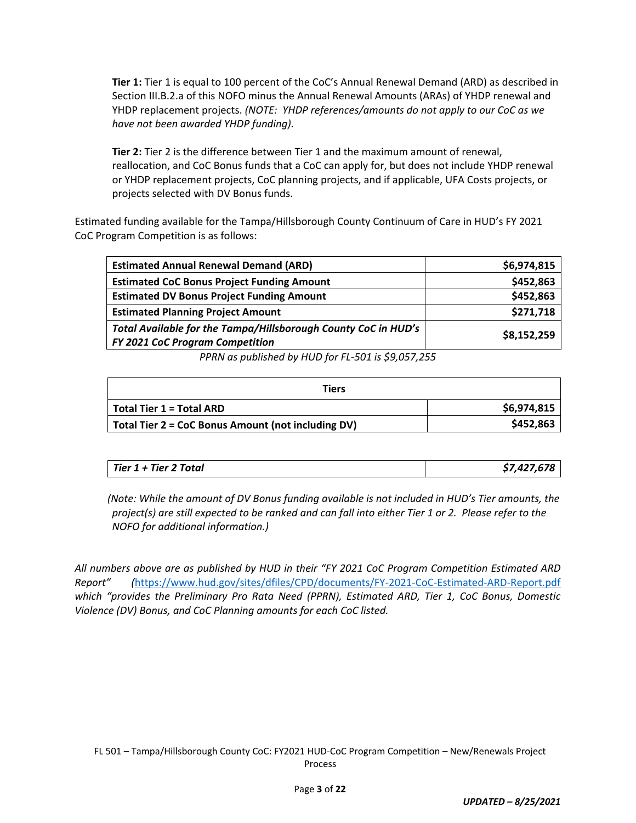**Tier 1:** Tier 1 is equal to 100 percent of the CoC's Annual Renewal Demand (ARD) as described in Section III.B.2.a of this NOFO minus the Annual Renewal Amounts (ARAs) of YHDP renewal and YHDP replacement projects. *(NOTE: YHDP references/amounts do not apply to our CoC as we have not been awarded YHDP funding).*

**Tier 2:** Tier 2 is the difference between Tier 1 and the maximum amount of renewal, reallocation, and CoC Bonus funds that a CoC can apply for, but does not include YHDP renewal or YHDP replacement projects, CoC planning projects, and if applicable, UFA Costs projects, or projects selected with DV Bonus funds.

Estimated funding available for the Tampa/Hillsborough County Continuum of Care in HUD's FY 2021 CoC Program Competition is as follows:

| \$6,974,815                                                                   |  |
|-------------------------------------------------------------------------------|--|
| \$452,863                                                                     |  |
| \$452,863                                                                     |  |
| \$271,718                                                                     |  |
| Total Available for the Tampa/Hillsborough County CoC in HUD's<br>\$8,152,259 |  |
|                                                                               |  |

*PPRN as published by HUD for FL‐501 is \$9,057,255*

| Tiers                                              |             |  |
|----------------------------------------------------|-------------|--|
| Total Tier 1 = Total ARD                           | \$6,974,815 |  |
| Total Tier 2 = CoC Bonus Amount (not including DV) | \$452,863   |  |

*(Note: While the amount of DV Bonus funding available is not included in HUD's Tier amounts, the* project(s) are still expected to be ranked and can fall into either Tier 1 or 2. Please refer to the *NOFO for additional information.)*

*All numbers above are as published by HUD in their "FY 2021 CoC Program Competition Estimated ARD Report" (*https://www.hud.gov/sites/dfiles/CPD/documents/FY‐2021‐CoC‐Estimated‐ARD‐Report.pdf *which "provides the Preliminary Pro Rata Need (PPRN), Estimated ARD, Tier 1, CoC Bonus, Domestic Violence (DV) Bonus, and CoC Planning amounts for each CoC listed.*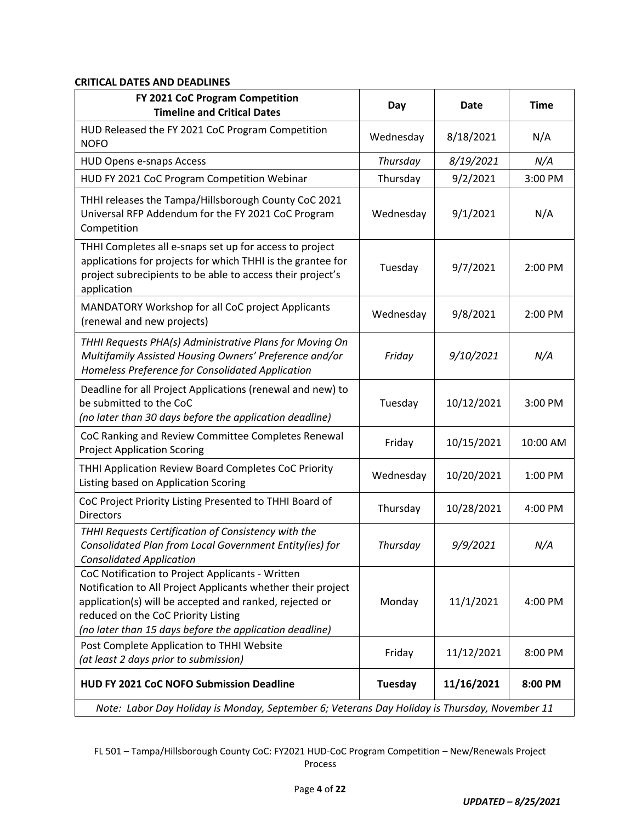# **CRITICAL DATES AND DEADLINES**

| FY 2021 CoC Program Competition<br><b>Timeline and Critical Dates</b>                                                                                                                                                                                                         | Day       | <b>Date</b> | <b>Time</b> |
|-------------------------------------------------------------------------------------------------------------------------------------------------------------------------------------------------------------------------------------------------------------------------------|-----------|-------------|-------------|
| HUD Released the FY 2021 CoC Program Competition<br><b>NOFO</b>                                                                                                                                                                                                               | Wednesday | 8/18/2021   | N/A         |
| <b>HUD Opens e-snaps Access</b>                                                                                                                                                                                                                                               | Thursday  | 8/19/2021   | N/A         |
| HUD FY 2021 CoC Program Competition Webinar                                                                                                                                                                                                                                   | Thursday  | 9/2/2021    | 3:00 PM     |
| THHI releases the Tampa/Hillsborough County CoC 2021<br>Universal RFP Addendum for the FY 2021 CoC Program<br>Competition                                                                                                                                                     | Wednesday | 9/1/2021    | N/A         |
| THHI Completes all e-snaps set up for access to project<br>applications for projects for which THHI is the grantee for<br>project subrecipients to be able to access their project's<br>application                                                                           | Tuesday   | 9/7/2021    | 2:00 PM     |
| MANDATORY Workshop for all CoC project Applicants<br>(renewal and new projects)                                                                                                                                                                                               | Wednesday | 9/8/2021    | 2:00 PM     |
| THHI Requests PHA(s) Administrative Plans for Moving On<br>Multifamily Assisted Housing Owners' Preference and/or<br>Homeless Preference for Consolidated Application                                                                                                         | Friday    | 9/10/2021   | N/A         |
| Deadline for all Project Applications (renewal and new) to<br>be submitted to the CoC<br>(no later than 30 days before the application deadline)                                                                                                                              | Tuesday   | 10/12/2021  | 3:00 PM     |
| CoC Ranking and Review Committee Completes Renewal<br><b>Project Application Scoring</b>                                                                                                                                                                                      | Friday    | 10/15/2021  | 10:00 AM    |
| THHI Application Review Board Completes CoC Priority<br>Listing based on Application Scoring                                                                                                                                                                                  | Wednesday | 10/20/2021  | 1:00 PM     |
| CoC Project Priority Listing Presented to THHI Board of<br><b>Directors</b>                                                                                                                                                                                                   | Thursday  | 10/28/2021  | 4:00 PM     |
| THHI Requests Certification of Consistency with the<br>Consolidated Plan from Local Government Entity(ies) for<br><b>Consolidated Application</b>                                                                                                                             | Thursday  | 9/9/2021    | N/A         |
| CoC Notification to Project Applicants - Written<br>Notification to All Project Applicants whether their project<br>application(s) will be accepted and ranked, rejected or<br>reduced on the CoC Priority Listing<br>(no later than 15 days before the application deadline) | Monday    | 11/1/2021   | 4:00 PM     |
| Post Complete Application to THHI Website<br>(at least 2 days prior to submission)                                                                                                                                                                                            | Friday    | 11/12/2021  | 8:00 PM     |
| <b>HUD FY 2021 CoC NOFO Submission Deadline</b>                                                                                                                                                                                                                               | Tuesday   | 11/16/2021  | 8:00 PM     |
| Note: Labor Day Holiday is Monday, September 6; Veterans Day Holiday is Thursday, November 11                                                                                                                                                                                 |           |             |             |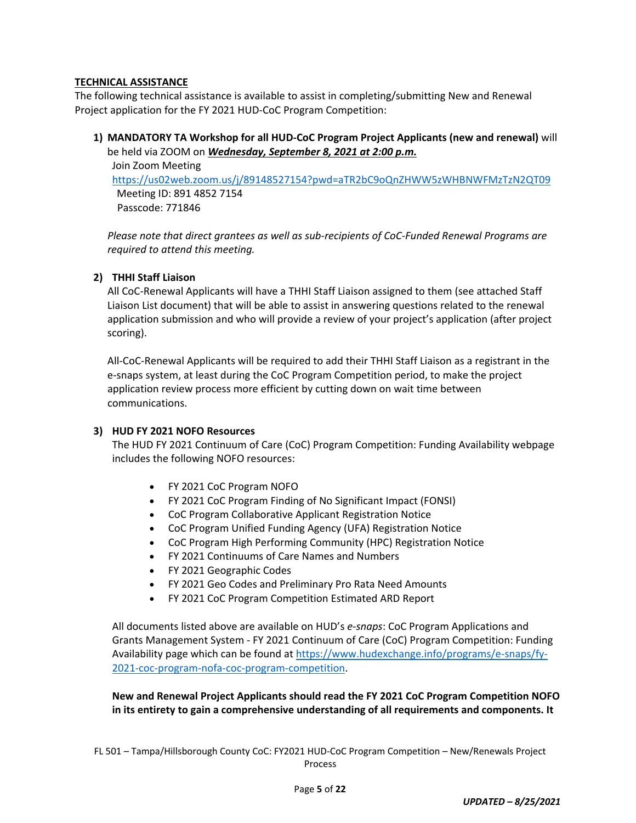## **TECHNICAL ASSISTANCE**

The following technical assistance is available to assist in completing/submitting New and Renewal Project application for the FY 2021 HUD‐CoC Program Competition:

**1) MANDATORY TA Workshop for all HUD‐CoC Program Project Applicants (new and renewal)** will be held via ZOOM on *Wednesday, September 8, 2021 at 2:00 p.m.* Join Zoom Meeting

https://us02web.zoom.us/j/89148527154?pwd=aTR2bC9oQnZHWW5zWHBNWFMzTzN2QT09 Meeting ID: 891 4852 7154 Passcode: 771846

*Please note that direct grantees as well as sub‐recipients of CoC‐Funded Renewal Programs are required to attend this meeting.*

# **2) THHI Staff Liaison**

All CoC‐Renewal Applicants will have a THHI Staff Liaison assigned to them (see attached Staff Liaison List document) that will be able to assist in answering questions related to the renewal application submission and who will provide a review of your project's application (after project scoring).

All‐CoC‐Renewal Applicants will be required to add their THHI Staff Liaison as a registrant in the e‐snaps system, at least during the CoC Program Competition period, to make the project application review process more efficient by cutting down on wait time between communications.

#### **3) HUD FY 2021 NOFO Resources**

The HUD FY 2021 Continuum of Care (CoC) Program Competition: Funding Availability webpage includes the following NOFO resources:

- FY 2021 CoC Program NOFO
- FY 2021 CoC Program Finding of No Significant Impact (FONSI)
- CoC Program Collaborative Applicant Registration Notice
- CoC Program Unified Funding Agency (UFA) Registration Notice
- CoC Program High Performing Community (HPC) Registration Notice
- FY 2021 Continuums of Care Names and Numbers
- FY 2021 Geographic Codes
- FY 2021 Geo Codes and Preliminary Pro Rata Need Amounts
- FY 2021 CoC Program Competition Estimated ARD Report

All documents listed above are available on HUD's *e‐snaps*: CoC Program Applications and Grants Management System ‐ FY 2021 Continuum of Care (CoC) Program Competition: Funding Availability page which can be found at https://www.hudexchange.info/programs/e-snaps/fy-2021‐coc‐program‐nofa‐coc‐program‐competition.

## **New and Renewal Project Applicants should read the FY 2021 CoC Program Competition NOFO in its entirety to gain a comprehensive understanding of all requirements and components. It**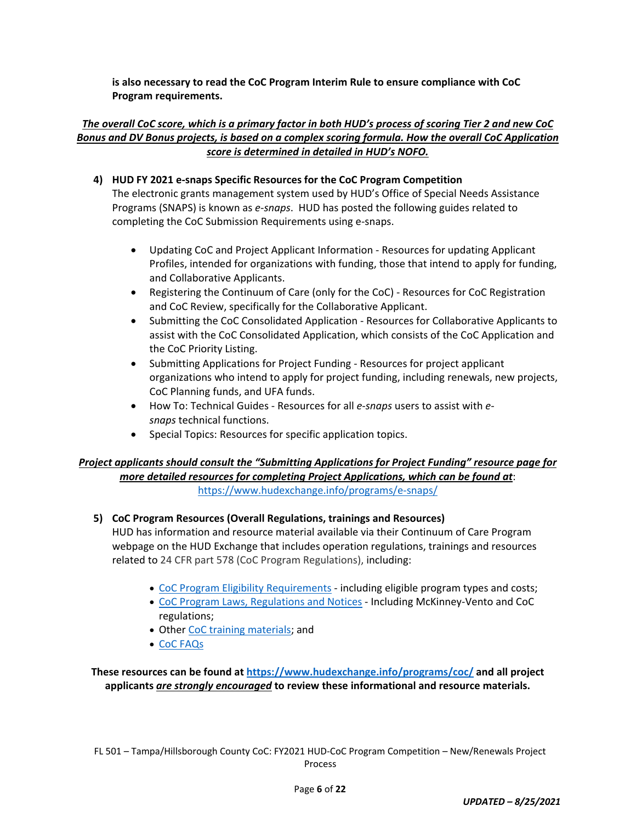**is also necessary to read the CoC Program Interim Rule to ensure compliance with CoC Program requirements.** 

# The overall CoC score, which is a primary factor in both HUD's process of scoring Tier 2 and new CoC *Bonus and DV Bonus projects, is based on a complex scoring formula. How the overall CoC Application score is determined in detailed in HUD's NOFO.*

## **4) HUD FY 2021 e‐snaps Specific Resources for the CoC Program Competition**

The electronic grants management system used by HUD's Office of Special Needs Assistance Programs (SNAPS) is known as *e‐snaps*. HUD has posted the following guides related to completing the CoC Submission Requirements using e‐snaps.

- Updating CoC and Project Applicant Information ‐ Resources for updating Applicant Profiles, intended for organizations with funding, those that intend to apply for funding, and Collaborative Applicants.
- Registering the Continuum of Care (only for the CoC) Resources for CoC Registration and CoC Review, specifically for the Collaborative Applicant.
- Submitting the CoC Consolidated Application ‐ Resources for Collaborative Applicants to assist with the CoC Consolidated Application, which consists of the CoC Application and the CoC Priority Listing.
- Submitting Applications for Project Funding ‐ Resources for project applicant organizations who intend to apply for project funding, including renewals, new projects, CoC Planning funds, and UFA funds.
- How To: Technical Guides Resources for all *e-snaps* users to assist with *esnaps* technical functions.
- Special Topics: Resources for specific application topics.

## *Project applicants should consult the "Submitting Applications for Project Funding" resource page for more detailed resources for completing Project Applications, which can be found at*: https://www.hudexchange.info/programs/e‐snaps/

# **5) CoC Program Resources (Overall Regulations, trainings and Resources)**

HUD has information and resource material available via their Continuum of Care Program webpage on the HUD Exchange that includes operation regulations, trainings and resources related to 24 CFR part 578 (CoC Program Regulations), including:

- CoC Program Eligibility Requirements ‐ including eligible program types and costs;
- CoC Program Laws, Regulations and Notices ‐ Including McKinney‐Vento and CoC regulations;
- Other CoC training materials; and
- CoC FAQs

**These resources can be found at https://www.hudexchange.info/programs/coc/ and all project applicants** *are strongly encouraged* **to review these informational and resource materials.**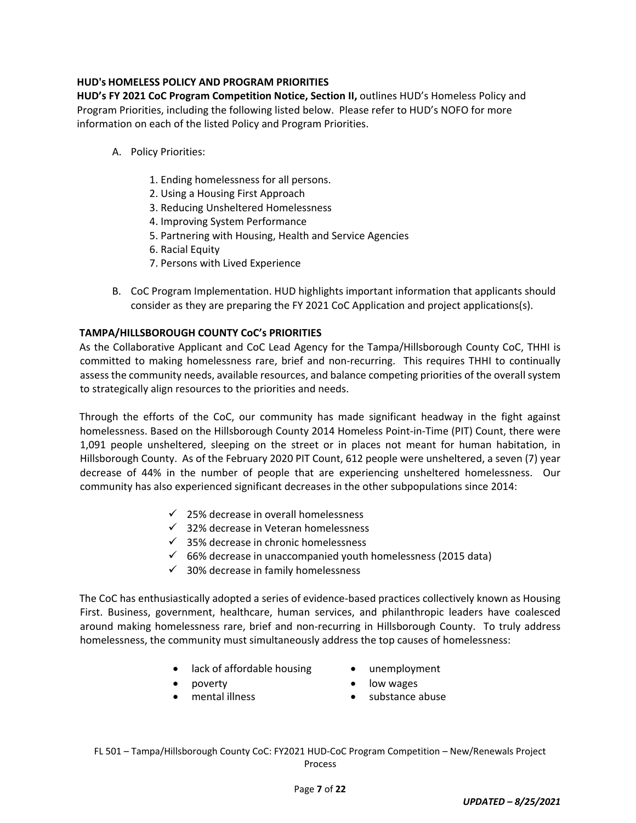# **HUD's HOMELESS POLICY AND PROGRAM PRIORITIES**

**HUD's FY 2021 CoC Program Competition Notice, Section II,** outlines HUD's Homeless Policy and Program Priorities, including the following listed below. Please refer to HUD's NOFO for more information on each of the listed Policy and Program Priorities.

- A. Policy Priorities:
	- 1. Ending homelessness for all persons.
	- 2. Using a Housing First Approach
	- 3. Reducing Unsheltered Homelessness
	- 4. Improving System Performance
	- 5. Partnering with Housing, Health and Service Agencies
	- 6. Racial Equity
	- 7. Persons with Lived Experience
- B. CoC Program Implementation. HUD highlights important information that applicants should consider as they are preparing the FY 2021 CoC Application and project applications(s).

## **TAMPA/HILLSBOROUGH COUNTY CoC's PRIORITIES**

As the Collaborative Applicant and CoC Lead Agency for the Tampa/Hillsborough County CoC, THHI is committed to making homelessness rare, brief and non-recurring. This requires THHI to continually assess the community needs, available resources, and balance competing priorities of the overall system to strategically align resources to the priorities and needs.

Through the efforts of the CoC, our community has made significant headway in the fight against homelessness. Based on the Hillsborough County 2014 Homeless Point-in-Time (PIT) Count, there were 1,091 people unsheltered, sleeping on the street or in places not meant for human habitation, in Hillsborough County. As of the February 2020 PIT Count, 612 people were unsheltered, a seven (7) year decrease of 44% in the number of people that are experiencing unsheltered homelessness. Our community has also experienced significant decreases in the other subpopulations since 2014:

- $\checkmark$  25% decrease in overall homelessness
- $\checkmark$  32% decrease in Veteran homelessness
- $\checkmark$  35% decrease in chronic homelessness
- $66%$  decrease in unaccompanied youth homelessness (2015 data)
- $\checkmark$  30% decrease in family homelessness

The CoC has enthusiastically adopted a series of evidence‐based practices collectively known as Housing First. Business, government, healthcare, human services, and philanthropic leaders have coalesced around making homelessness rare, brief and non-recurring in Hillsborough County. To truly address homelessness, the community must simultaneously address the top causes of homelessness:

- lack of affordable housing unemployment
	-

- - poverty **and in the set of the set of the set of the set of the set of the set of the set of the set of the set o**
- 
- mental illness **values** substance abuse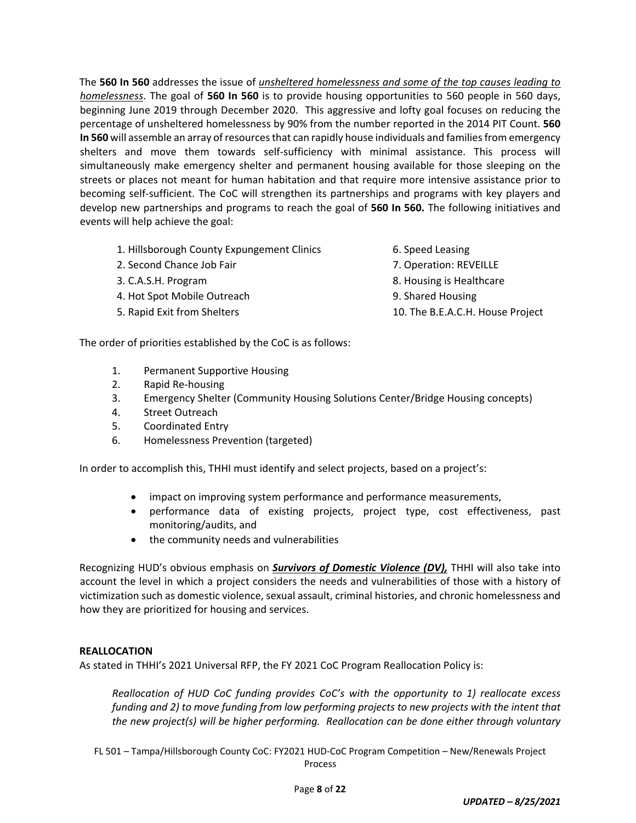The **560 In 560** addresses the issue of *unsheltered homelessness and some of the top causes leading to homelessness*. The goal of **560 In 560** is to provide housing opportunities to 560 people in 560 days, beginning June 2019 through December 2020. This aggressive and lofty goal focuses on reducing the percentage of unsheltered homelessness by 90% from the number reported in the 2014 PIT Count. **560** In 560 will assemble an array of resources that can rapidly house individuals and families from emergency shelters and move them towards self‐sufficiency with minimal assistance. This process will simultaneously make emergency shelter and permanent housing available for those sleeping on the streets or places not meant for human habitation and that require more intensive assistance prior to becoming self-sufficient. The CoC will strengthen its partnerships and programs with key players and develop new partnerships and programs to reach the goal of **560 In 560.** The following initiatives and events will help achieve the goal:

- 1. Hillsborough County Expungement Clinics 6. Speed Leasing
- 2. Second Chance Job Fair 7. Operation: REVEILLE
- 
- 4. Hot Spot Mobile Outreach 9. Shared Housing
- 
- 
- 
- 3. C.A.S.H. Program 8. Housing is Healthcare
	-
- 5. Rapid Exit from Shelters 10. The B.E.A.C.H. House Project

The order of priorities established by the CoC is as follows:

- 1. Permanent Supportive Housing
- 2. Rapid Re‐housing
- 3. Emergency Shelter (Community Housing Solutions Center/Bridge Housing concepts)
- 4. Street Outreach
- 5. Coordinated Entry
- 6. Homelessness Prevention (targeted)

In order to accomplish this, THHI must identify and select projects, based on a project's:

- impact on improving system performance and performance measurements,
- performance data of existing projects, project type, cost effectiveness, past monitoring/audits, and
- the community needs and vulnerabilities

Recognizing HUD's obvious emphasis on *Survivors of Domestic Violence (DV),* THHI will also take into account the level in which a project considers the needs and vulnerabilities of those with a history of victimization such as domestic violence, sexual assault, criminal histories, and chronic homelessness and how they are prioritized for housing and services.

#### **REALLOCATION**

As stated in THHI's 2021 Universal RFP, the FY 2021 CoC Program Reallocation Policy is:

*Reallocation of HUD CoC funding provides CoC's with the opportunity to 1) reallocate excess funding and 2) to move funding from low performing projects to new projects with the intent that the new project(s) will be higher performing. Reallocation can be done either through voluntary*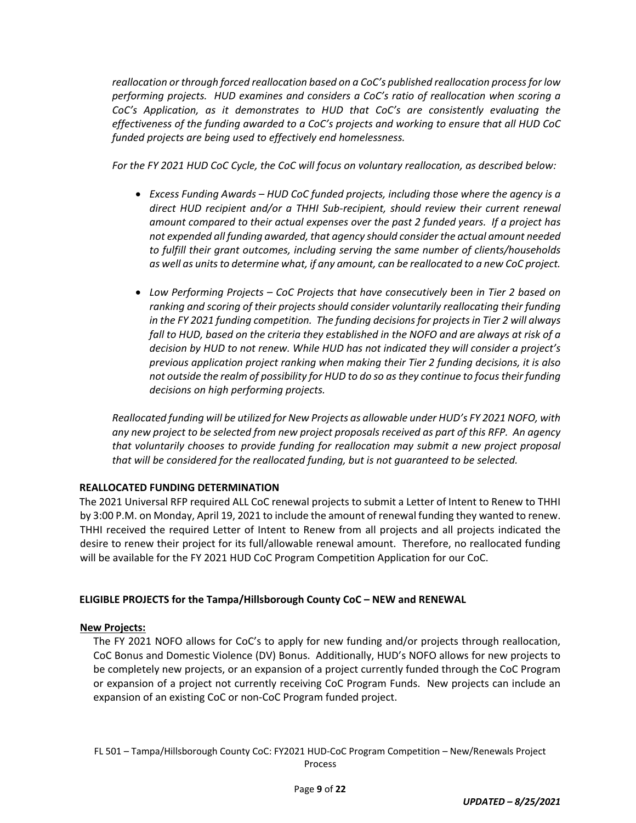*reallocation or through forced reallocation based on a CoC's published reallocation processfor low performing projects. HUD examines and considers a CoC's ratio of reallocation when scoring a CoC's Application, as it demonstrates to HUD that CoC's are consistently evaluating the effectiveness of the funding awarded to a CoC's projects and working to ensure that all HUD CoC funded projects are being used to effectively end homelessness.*

*For the FY 2021 HUD CoC Cycle, the CoC will focus on voluntary reallocation, as described below:*

- *Excess Funding Awards – HUD CoC funded projects, including those where the agency is a direct HUD recipient and/or a THHI Sub‐recipient, should review their current renewal amount compared to their actual expenses over the past 2 funded years. If a project has not expended all funding awarded, that agency should consider the actual amount needed to fulfill their grant outcomes, including serving the same number of clients/households as well as unitsto determine what, if any amount, can be reallocated to a new CoC project.*
- *Low Performing Projects – CoC Projects that have consecutively been in Tier 2 based on ranking and scoring of their projects should consider voluntarily reallocating their funding in the FY 2021 funding competition. The funding decisions for projectsin Tier 2 will always fall to HUD, based on the criteria they established in the NOFO and are always at risk of a decision by HUD to not renew. While HUD has not indicated they will consider a project's previous application project ranking when making their Tier 2 funding decisions, it is also not outside the realm of possibility for HUD to do so asthey continue to focustheir funding decisions on high performing projects.*

*Reallocated funding will be utilized for New Projects as allowable under HUD's FY 2021 NOFO, with* any new project to be selected from new project proposals received as part of this RFP. An agency *that voluntarily chooses to provide funding for reallocation may submit a new project proposal that will be considered for the reallocated funding, but is not guaranteed to be selected.*

#### **REALLOCATED FUNDING DETERMINATION**

The 2021 Universal RFP required ALL CoC renewal projects to submit a Letter of Intent to Renew to THHI by 3:00 P.M. on Monday, April 19, 2021 to include the amount of renewal funding they wanted to renew. THHI received the required Letter of Intent to Renew from all projects and all projects indicated the desire to renew their project for its full/allowable renewal amount. Therefore, no reallocated funding will be available for the FY 2021 HUD CoC Program Competition Application for our CoC.

#### **ELIGIBLE PROJECTS for the Tampa/Hillsborough County CoC – NEW and RENEWAL**

#### **New Projects:**

The FY 2021 NOFO allows for CoC's to apply for new funding and/or projects through reallocation, CoC Bonus and Domestic Violence (DV) Bonus. Additionally, HUD's NOFO allows for new projects to be completely new projects, or an expansion of a project currently funded through the CoC Program or expansion of a project not currently receiving CoC Program Funds. New projects can include an expansion of an existing CoC or non‐CoC Program funded project.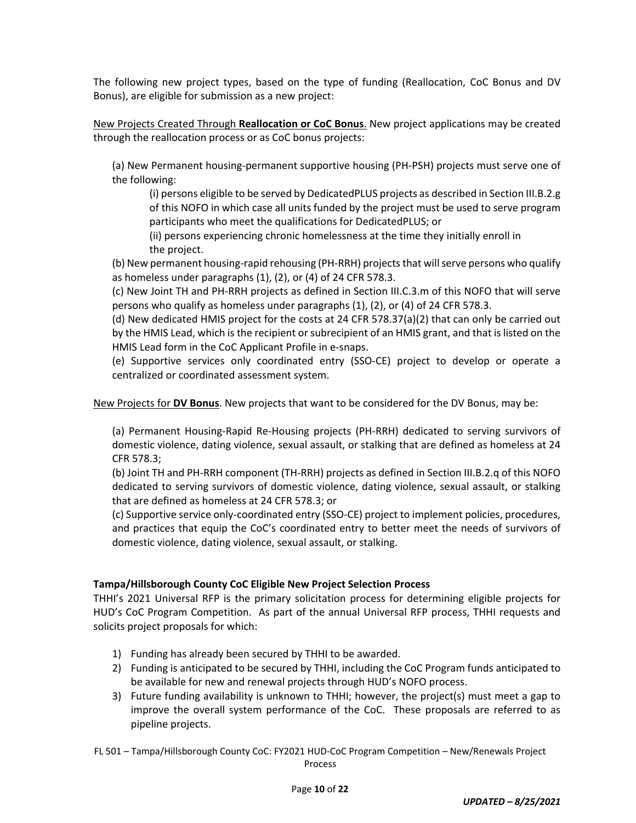The following new project types, based on the type of funding (Reallocation, CoC Bonus and DV Bonus), are eligible for submission as a new project:

New Projects Created Through **Reallocation or CoC Bonus**. New project applications may be created through the reallocation process or as CoC bonus projects:

(a) New Permanent housing‐permanent supportive housing (PH‐PSH) projects must serve one of the following:

(i) persons eligible to be served by DedicatedPLUS projects as described in Section III.B.2.g of this NOFO in which case all units funded by the project must be used to serve program participants who meet the qualifications for DedicatedPLUS; or

(ii) persons experiencing chronic homelessness at the time they initially enroll in the project.

(b) New permanent housing-rapid rehousing (PH-RRH) projects that will serve persons who qualify as homeless under paragraphs (1), (2), or (4) of 24 CFR 578.3.

(c) New Joint TH and PH‐RRH projects as defined in Section III.C.3.m of this NOFO that will serve persons who qualify as homeless under paragraphs (1), (2), or (4) of 24 CFR 578.3.

(d) New dedicated HMIS project for the costs at 24 CFR 578.37(a)(2) that can only be carried out by the HMIS Lead, which is the recipient or subrecipient of an HMIS grant, and that is listed on the HMIS Lead form in the CoC Applicant Profile in e‐snaps.

(e) Supportive services only coordinated entry (SSO‐CE) project to develop or operate a centralized or coordinated assessment system.

New Projects for **DV Bonus**. New projects that want to be considered for the DV Bonus, may be:

(a) Permanent Housing‐Rapid Re‐Housing projects (PH‐RRH) dedicated to serving survivors of domestic violence, dating violence, sexual assault, or stalking that are defined as homeless at 24 CFR 578.3;

(b) Joint TH and PH‐RRH component (TH‐RRH) projects as defined in Section III.B.2.q of this NOFO dedicated to serving survivors of domestic violence, dating violence, sexual assault, or stalking that are defined as homeless at 24 CFR 578.3; or

(c) Supportive service only‐coordinated entry (SSO‐CE) project to implement policies, procedures, and practices that equip the CoC's coordinated entry to better meet the needs of survivors of domestic violence, dating violence, sexual assault, or stalking.

#### **Tampa/Hillsborough County CoC Eligible New Project Selection Process**

THHI's 2021 Universal RFP is the primary solicitation process for determining eligible projects for HUD's CoC Program Competition. As part of the annual Universal RFP process, THHI requests and solicits project proposals for which:

- 1) Funding has already been secured by THHI to be awarded.
- 2) Funding is anticipated to be secured by THHI, including the CoC Program funds anticipated to be available for new and renewal projects through HUD's NOFO process.
- 3) Future funding availability is unknown to THHI; however, the project(s) must meet a gap to improve the overall system performance of the CoC. These proposals are referred to as pipeline projects.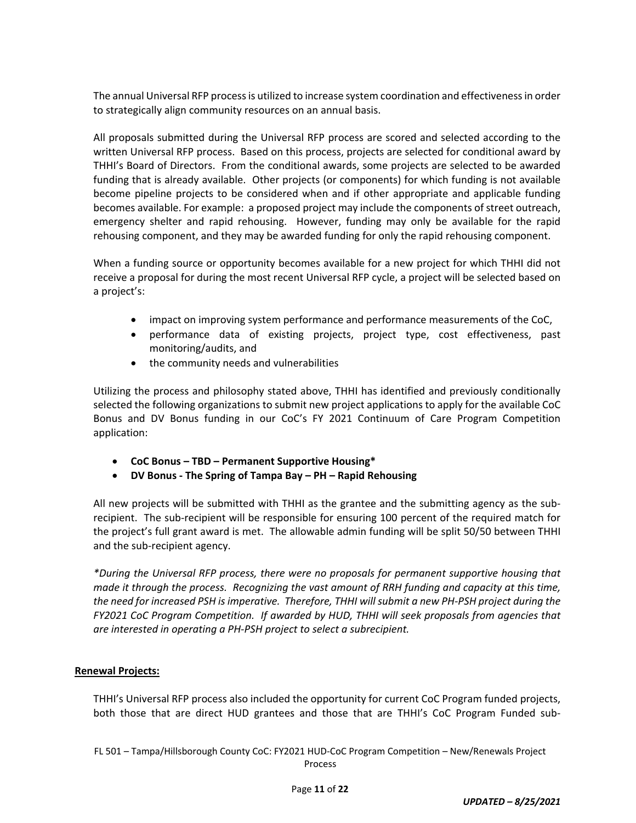The annual Universal RFP process is utilized to increase system coordination and effectiveness in order to strategically align community resources on an annual basis.

All proposals submitted during the Universal RFP process are scored and selected according to the written Universal RFP process. Based on this process, projects are selected for conditional award by THHI's Board of Directors. From the conditional awards, some projects are selected to be awarded funding that is already available. Other projects (or components) for which funding is not available become pipeline projects to be considered when and if other appropriate and applicable funding becomes available. For example: a proposed project may include the components of street outreach, emergency shelter and rapid rehousing. However, funding may only be available for the rapid rehousing component, and they may be awarded funding for only the rapid rehousing component.

When a funding source or opportunity becomes available for a new project for which THHI did not receive a proposal for during the most recent Universal RFP cycle, a project will be selected based on a project's:

- impact on improving system performance and performance measurements of the CoC,
- performance data of existing projects, project type, cost effectiveness, past monitoring/audits, and
- the community needs and vulnerabilities

Utilizing the process and philosophy stated above, THHI has identified and previously conditionally selected the following organizations to submit new project applications to apply for the available CoC Bonus and DV Bonus funding in our CoC's FY 2021 Continuum of Care Program Competition application:

- **CoC Bonus – TBD – Permanent Supportive Housing\***
- **DV Bonus ‐ The Spring of Tampa Bay – PH – Rapid Rehousing**

All new projects will be submitted with THHI as the grantee and the submitting agency as the sub‐ recipient. The sub‐recipient will be responsible for ensuring 100 percent of the required match for the project's full grant award is met. The allowable admin funding will be split 50/50 between THHI and the sub‐recipient agency.

*\*During the Universal RFP process, there were no proposals for permanent supportive housing that* made it through the process. Recognizing the vast amount of RRH funding and capacity at this time, the need for increased PSH is imperative. Therefore, THHI will submit a new PH-PSH project during the *FY2021 CoC Program Competition. If awarded by HUD, THHI will seek proposals from agencies that are interested in operating a PH‐PSH project to select a subrecipient.*

#### **Renewal Projects:**

THHI's Universal RFP process also included the opportunity for current CoC Program funded projects, both those that are direct HUD grantees and those that are THHI's CoC Program Funded sub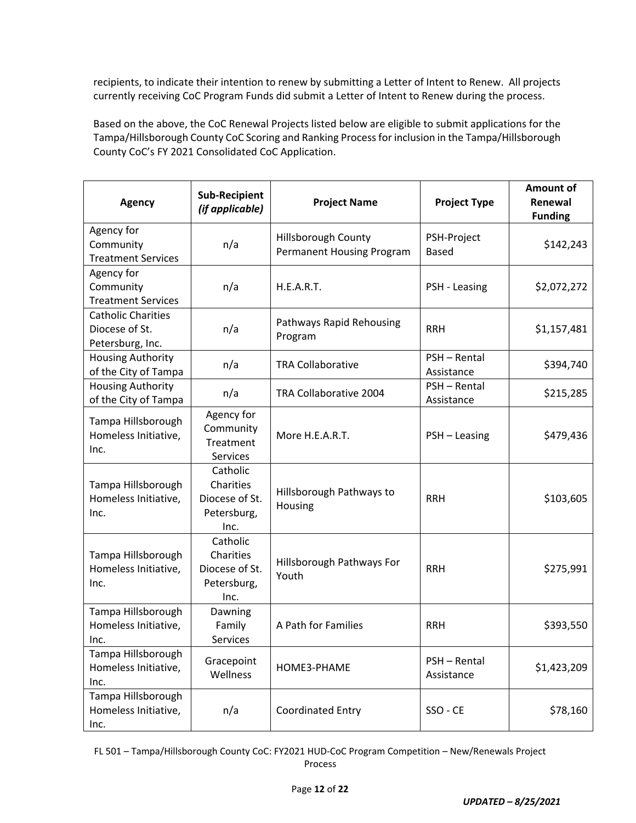recipients, to indicate their intention to renew by submitting a Letter of Intent to Renew. All projects currently receiving CoC Program Funds did submit a Letter of Intent to Renew during the process.

Based on the above, the CoC Renewal Projects listed below are eligible to submit applications for the Tampa/Hillsborough County CoC Scoring and Ranking Processfor inclusion in the Tampa/Hillsborough County CoC's FY 2021 Consolidated CoC Application.

| <b>Agency</b>                                                   | <b>Sub-Recipient</b><br>(if applicable)                        | <b>Project Name</b>                              | <b>Project Type</b>         | <b>Amount of</b><br>Renewal<br><b>Funding</b> |
|-----------------------------------------------------------------|----------------------------------------------------------------|--------------------------------------------------|-----------------------------|-----------------------------------------------|
| Agency for<br>Community<br><b>Treatment Services</b>            | n/a                                                            | Hillsborough County<br>Permanent Housing Program | PSH-Project<br><b>Based</b> | \$142,243                                     |
| Agency for<br>Community<br><b>Treatment Services</b>            | n/a                                                            | H.E.A.R.T.                                       | PSH - Leasing               | \$2,072,272                                   |
| <b>Catholic Charities</b><br>Diocese of St.<br>Petersburg, Inc. | n/a                                                            | Pathways Rapid Rehousing<br>Program              | <b>RRH</b>                  | \$1,157,481                                   |
| <b>Housing Authority</b><br>of the City of Tampa                | n/a                                                            | <b>TRA Collaborative</b>                         | PSH - Rental<br>Assistance  | \$394,740                                     |
| <b>Housing Authority</b><br>of the City of Tampa                | n/a                                                            | TRA Collaborative 2004                           | PSH - Rental<br>Assistance  | \$215,285                                     |
| Tampa Hillsborough<br>Homeless Initiative,<br>Inc.              | Agency for<br>Community<br>Treatment<br>Services               | More H.E.A.R.T.                                  | PSH - Leasing               | \$479,436                                     |
| Tampa Hillsborough<br>Homeless Initiative,<br>Inc.              | Catholic<br>Charities<br>Diocese of St.<br>Petersburg,<br>Inc. | Hillsborough Pathways to<br>Housing              | <b>RRH</b>                  | \$103,605                                     |
| Tampa Hillsborough<br>Homeless Initiative,<br>Inc.              | Catholic<br>Charities<br>Diocese of St.<br>Petersburg,<br>Inc. | Hillsborough Pathways For<br>Youth               | <b>RRH</b>                  | \$275,991                                     |
| Tampa Hillsborough<br>Homeless Initiative,<br>Inc.              | Dawning<br>Family<br><b>Services</b>                           | A Path for Families                              | <b>RRH</b>                  | \$393,550                                     |
| Tampa Hillsborough<br>Homeless Initiative,<br>Inc.              | Gracepoint<br>Wellness                                         | HOME3-PHAME                                      | PSH - Rental<br>Assistance  | \$1,423,209                                   |
| Tampa Hillsborough<br>Homeless Initiative,<br>Inc.              | n/a                                                            | <b>Coordinated Entry</b>                         | SSO - CE                    | \$78,160                                      |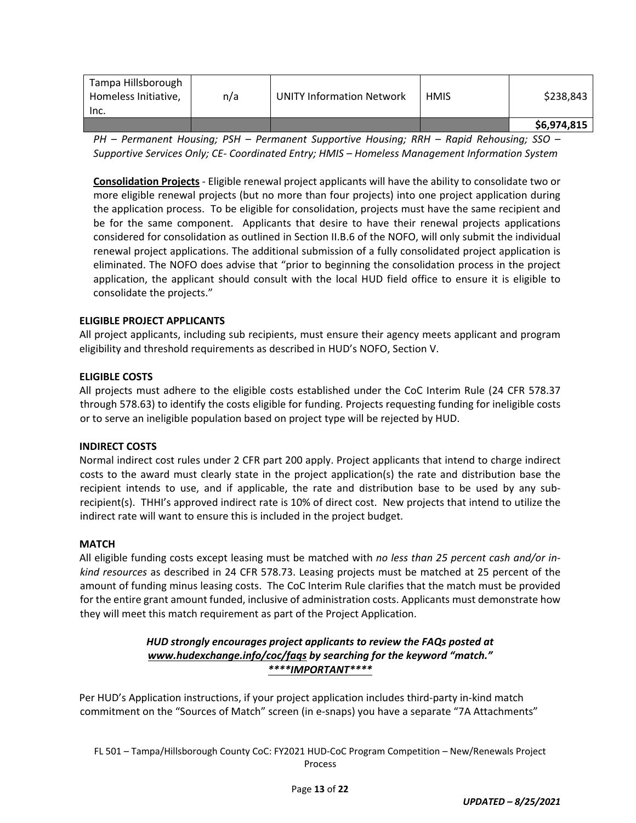| Tampa Hillsborough<br>Homeless Initiative,<br>Inc. | n/a | <b>UNITY Information Network</b> | <b>HMIS</b> | \$238,843   |
|----------------------------------------------------|-----|----------------------------------|-------------|-------------|
|                                                    |     |                                  |             | \$6,974,815 |

*PH – Permanent Housing; PSH – Permanent Supportive Housing; RRH – Rapid Rehousing; SSO – Supportive Services Only; CE‐ Coordinated Entry; HMIS – Homeless Management Information System*

**Consolidation Projects** ‐ Eligible renewal project applicants will have the ability to consolidate two or more eligible renewal projects (but no more than four projects) into one project application during the application process. To be eligible for consolidation, projects must have the same recipient and be for the same component. Applicants that desire to have their renewal projects applications considered for consolidation as outlined in Section II.B.6 of the NOFO, will only submit the individual renewal project applications. The additional submission of a fully consolidated project application is eliminated. The NOFO does advise that "prior to beginning the consolidation process in the project application, the applicant should consult with the local HUD field office to ensure it is eligible to consolidate the projects."

## **ELIGIBLE PROJECT APPLICANTS**

All project applicants, including sub recipients, must ensure their agency meets applicant and program eligibility and threshold requirements as described in HUD's NOFO, Section V.

#### **ELIGIBLE COSTS**

All projects must adhere to the eligible costs established under the CoC Interim Rule (24 CFR 578.37 through 578.63) to identify the costs eligible for funding. Projects requesting funding for ineligible costs or to serve an ineligible population based on project type will be rejected by HUD.

#### **INDIRECT COSTS**

Normal indirect cost rules under 2 CFR part 200 apply. Project applicants that intend to charge indirect costs to the award must clearly state in the project application(s) the rate and distribution base the recipient intends to use, and if applicable, the rate and distribution base to be used by any sub‐ recipient(s). THHI's approved indirect rate is 10% of direct cost. New projects that intend to utilize the indirect rate will want to ensure this is included in the project budget.

#### **MATCH**

All eligible funding costs except leasing must be matched with *no less than 25 percent cash and/or in‐ kind resources* as described in 24 CFR 578.73. Leasing projects must be matched at 25 percent of the amount of funding minus leasing costs. The CoC Interim Rule clarifies that the match must be provided for the entire grant amount funded, inclusive of administration costs. Applicants must demonstrate how they will meet this match requirement as part of the Project Application.

## *HUD strongly encourages project applicants to review the FAQs posted at www.hudexchange.info/coc/faqs by searching for the keyword "match." \*\*\*\*IMPORTANT\*\*\*\**

Per HUD's Application instructions, if your project application includes third‐party in‐kind match commitment on the "Sources of Match" screen (in e‐snaps) you have a separate "7A Attachments"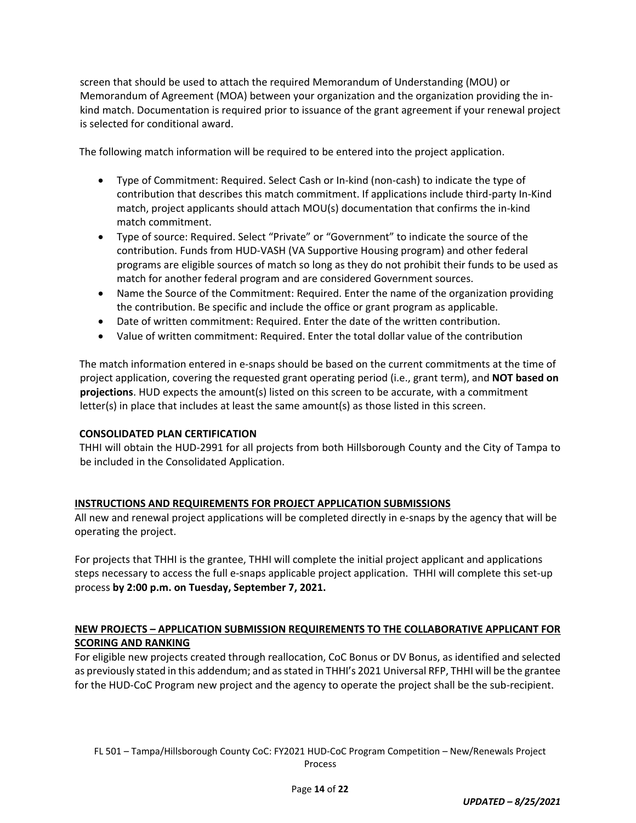screen that should be used to attach the required Memorandum of Understanding (MOU) or Memorandum of Agreement (MOA) between your organization and the organization providing the in‐ kind match. Documentation is required prior to issuance of the grant agreement if your renewal project is selected for conditional award.

The following match information will be required to be entered into the project application.

- Type of Commitment: Required. Select Cash or In‐kind (non‐cash) to indicate the type of contribution that describes this match commitment. If applications include third‐party In‐Kind match, project applicants should attach MOU(s) documentation that confirms the in‐kind match commitment.
- Type of source: Required. Select "Private" or "Government" to indicate the source of the contribution. Funds from HUD‐VASH (VA Supportive Housing program) and other federal programs are eligible sources of match so long as they do not prohibit their funds to be used as match for another federal program and are considered Government sources.
- Name the Source of the Commitment: Required. Enter the name of the organization providing the contribution. Be specific and include the office or grant program as applicable.
- Date of written commitment: Required. Enter the date of the written contribution.
- Value of written commitment: Required. Enter the total dollar value of the contribution

The match information entered in e‐snaps should be based on the current commitments at the time of project application, covering the requested grant operating period (i.e., grant term), and **NOT based on projections**. HUD expects the amount(s) listed on this screen to be accurate, with a commitment letter(s) in place that includes at least the same amount(s) as those listed in this screen.

#### **CONSOLIDATED PLAN CERTIFICATION**

THHI will obtain the HUD‐2991 for all projects from both Hillsborough County and the City of Tampa to be included in the Consolidated Application.

#### **INSTRUCTIONS AND REQUIREMENTS FOR PROJECT APPLICATION SUBMISSIONS**

All new and renewal project applications will be completed directly in e‐snaps by the agency that will be operating the project.

For projects that THHI is the grantee, THHI will complete the initial project applicant and applications steps necessary to access the full e-snaps applicable project application. THHI will complete this set-up process **by 2:00 p.m. on Tuesday, September 7, 2021.**

## **NEW PROJECTS – APPLICATION SUBMISSION REQUIREMENTS TO THE COLLABORATIVE APPLICANT FOR SCORING AND RANKING**

For eligible new projects created through reallocation, CoC Bonus or DV Bonus, as identified and selected as previously stated in this addendum; and asstated in THHI's 2021 Universal RFP, THHI will be the grantee for the HUD-CoC Program new project and the agency to operate the project shall be the sub-recipient.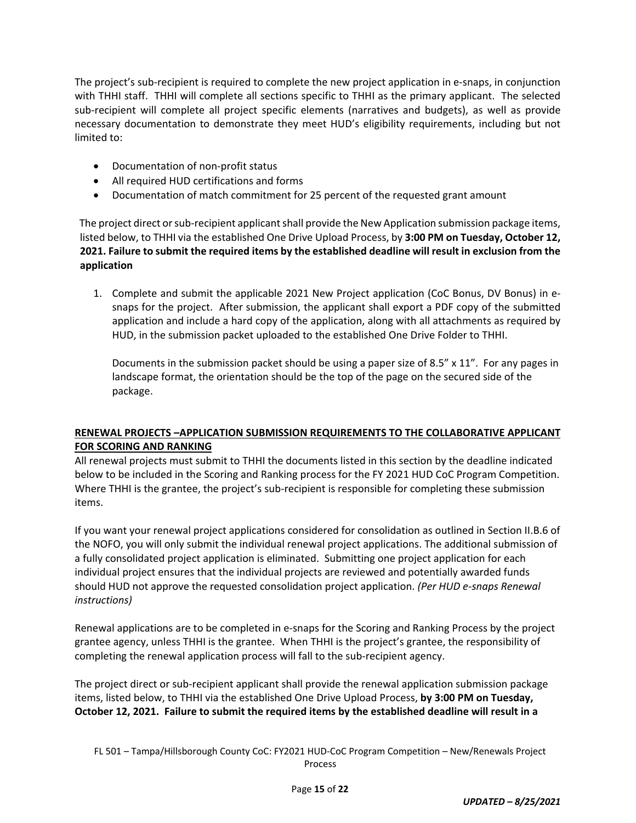The project's sub‐recipient is required to complete the new project application in e‐snaps, in conjunction with THHI staff. THHI will complete all sections specific to THHI as the primary applicant. The selected sub‐recipient will complete all project specific elements (narratives and budgets), as well as provide necessary documentation to demonstrate they meet HUD's eligibility requirements, including but not limited to:

- Documentation of non-profit status
- All required HUD certifications and forms
- Documentation of match commitment for 25 percent of the requested grant amount

The project direct or sub-recipient applicant shall provide the New Application submission package items, listed below, to THHI via the established One Drive Upload Process, by **3:00 PM on Tuesday, October 12, 2021. Failure to submit the required items by the established deadline will result in exclusion from the application**

1. Complete and submit the applicable 2021 New Project application (CoC Bonus, DV Bonus) in e‐ snaps for the project. After submission, the applicant shall export a PDF copy of the submitted application and include a hard copy of the application, along with all attachments as required by HUD, in the submission packet uploaded to the established One Drive Folder to THHI.

Documents in the submission packet should be using a paper size of 8.5" x 11". For any pages in landscape format, the orientation should be the top of the page on the secured side of the package.

# **RENEWAL PROJECTS –APPLICATION SUBMISSION REQUIREMENTS TO THE COLLABORATIVE APPLICANT FOR SCORING AND RANKING**

All renewal projects must submit to THHI the documents listed in this section by the deadline indicated below to be included in the Scoring and Ranking process for the FY 2021 HUD CoC Program Competition. Where THHI is the grantee, the project's sub-recipient is responsible for completing these submission items.

If you want your renewal project applications considered for consolidation as outlined in Section II.B.6 of the NOFO, you will only submit the individual renewal project applications. The additional submission of a fully consolidated project application is eliminated. Submitting one project application for each individual project ensures that the individual projects are reviewed and potentially awarded funds should HUD not approve the requested consolidation project application. *(Per HUD e‐snaps Renewal instructions)* 

Renewal applications are to be completed in e‐snaps for the Scoring and Ranking Process by the project grantee agency, unless THHI is the grantee. When THHI is the project's grantee, the responsibility of completing the renewal application process will fall to the sub‐recipient agency.

The project direct or sub‐recipient applicant shall provide the renewal application submission package items, listed below, to THHI via the established One Drive Upload Process, **by 3:00 PM on Tuesday,** October 12, 2021. Failure to submit the required items by the established deadline will result in a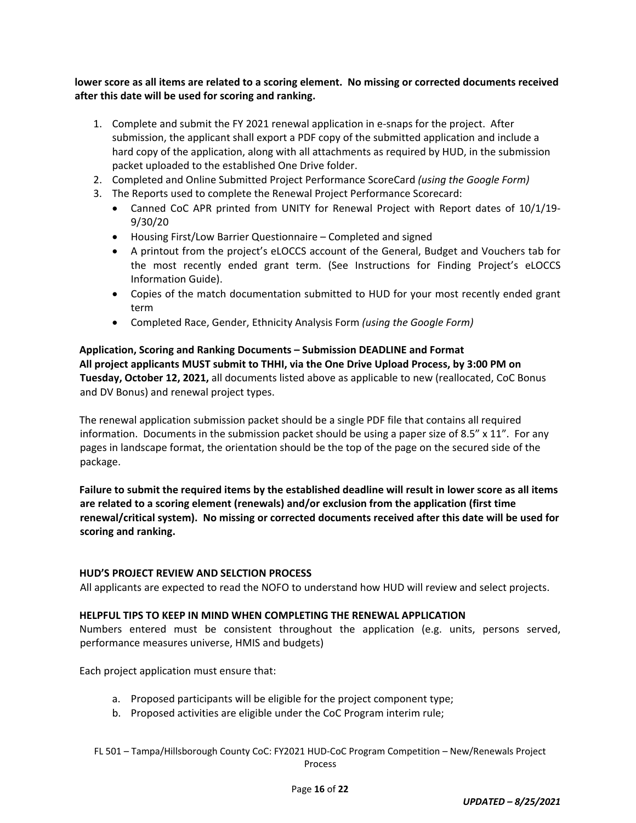## lower score as all items are related to a scoring element. No missing or corrected documents received **after this date will be used for scoring and ranking.**

- 1. Complete and submit the FY 2021 renewal application in e‐snaps for the project. After submission, the applicant shall export a PDF copy of the submitted application and include a hard copy of the application, along with all attachments as required by HUD, in the submission packet uploaded to the established One Drive folder.
- 2. Completed and Online Submitted Project Performance ScoreCard *(using the Google Form)*
- 3. The Reports used to complete the Renewal Project Performance Scorecard:
	- Canned CoC APR printed from UNITY for Renewal Project with Report dates of 10/1/19-9/30/20
	- Housing First/Low Barrier Questionnaire Completed and signed
	- A printout from the project's eLOCCS account of the General, Budget and Vouchers tab for the most recently ended grant term. (See Instructions for Finding Project's eLOCCS Information Guide).
	- Copies of the match documentation submitted to HUD for your most recently ended grant term
	- Completed Race, Gender, Ethnicity Analysis Form *(using the Google Form)*

# **Application, Scoring and Ranking Documents – Submission DEADLINE and Format All project applicants MUST submit to THHI, via the One Drive Upload Process, by 3:00 PM on Tuesday, October 12, 2021,** all documents listed above as applicable to new (reallocated, CoC Bonus and DV Bonus) and renewal project types.

The renewal application submission packet should be a single PDF file that contains all required information. Documents in the submission packet should be using a paper size of 8.5" x 11". For any pages in landscape format, the orientation should be the top of the page on the secured side of the package.

Failure to submit the required items by the established deadline will result in lower score as all items **are related to a scoring element (renewals) and/or exclusion from the application (first time renewal/critical system). No missing or corrected documents received after this date will be used for scoring and ranking.**

#### **HUD'S PROJECT REVIEW AND SELCTION PROCESS**

All applicants are expected to read the NOFO to understand how HUD will review and select projects.

## **HELPFUL TIPS TO KEEP IN MIND WHEN COMPLETING THE RENEWAL APPLICATION**

Numbers entered must be consistent throughout the application (e.g. units, persons served, performance measures universe, HMIS and budgets)

Each project application must ensure that:

- a. Proposed participants will be eligible for the project component type;
- b. Proposed activities are eligible under the CoC Program interim rule;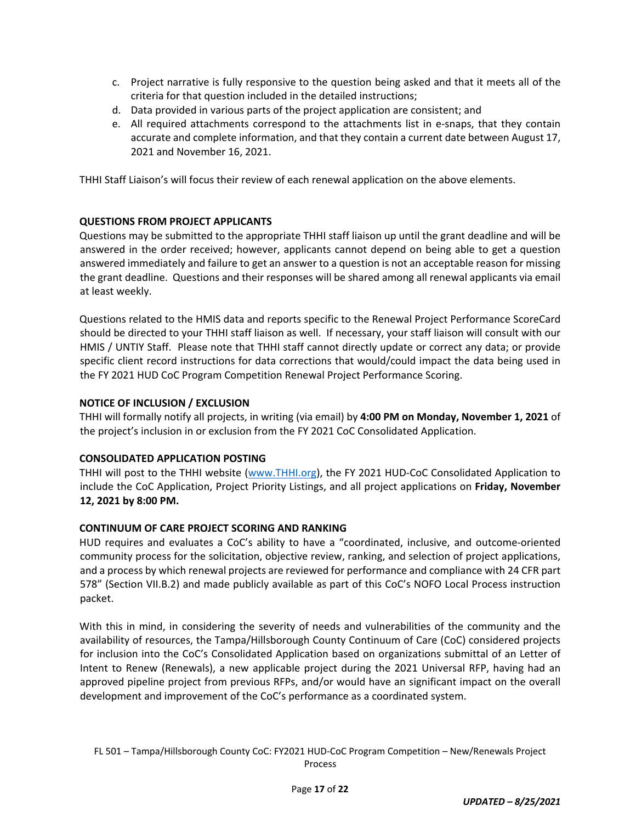- c. Project narrative is fully responsive to the question being asked and that it meets all of the criteria for that question included in the detailed instructions;
- d. Data provided in various parts of the project application are consistent; and
- e. All required attachments correspond to the attachments list in e‐snaps, that they contain accurate and complete information, and that they contain a current date between August 17, 2021 and November 16, 2021.

THHI Staff Liaison's will focus their review of each renewal application on the above elements.

#### **QUESTIONS FROM PROJECT APPLICANTS**

Questions may be submitted to the appropriate THHI staff liaison up until the grant deadline and will be answered in the order received; however, applicants cannot depend on being able to get a question answered immediately and failure to get an answer to a question is not an acceptable reason for missing the grant deadline. Questions and their responses will be shared among all renewal applicants via email at least weekly.

Questions related to the HMIS data and reports specific to the Renewal Project Performance ScoreCard should be directed to your THHI staff liaison as well. If necessary, your staff liaison will consult with our HMIS / UNTIY Staff. Please note that THHI staff cannot directly update or correct any data; or provide specific client record instructions for data corrections that would/could impact the data being used in the FY 2021 HUD CoC Program Competition Renewal Project Performance Scoring.

#### **NOTICE OF INCLUSION / EXCLUSION**

THHI will formally notify all projects, in writing (via email) by **4:00 PM on Monday, November 1, 2021** of the project's inclusion in or exclusion from the FY 2021 CoC Consolidated Application.

#### **CONSOLIDATED APPLICATION POSTING**

THHI will post to the THHI website (www.THHI.org), the FY 2021 HUD‐CoC Consolidated Application to include the CoC Application, Project Priority Listings, and all project applications on **Friday, November 12, 2021 by 8:00 PM.**

#### **CONTINUUM OF CARE PROJECT SCORING AND RANKING**

HUD requires and evaluates a CoC's ability to have a "coordinated, inclusive, and outcome-oriented community process for the solicitation, objective review, ranking, and selection of project applications, and a process by which renewal projects are reviewed for performance and compliance with 24 CFR part 578" (Section VII.B.2) and made publicly available as part of this CoC's NOFO Local Process instruction packet.

With this in mind, in considering the severity of needs and vulnerabilities of the community and the availability of resources, the Tampa/Hillsborough County Continuum of Care (CoC) considered projects for inclusion into the CoC's Consolidated Application based on organizations submittal of an Letter of Intent to Renew (Renewals), a new applicable project during the 2021 Universal RFP, having had an approved pipeline project from previous RFPs, and/or would have an significant impact on the overall development and improvement of the CoC's performance as a coordinated system.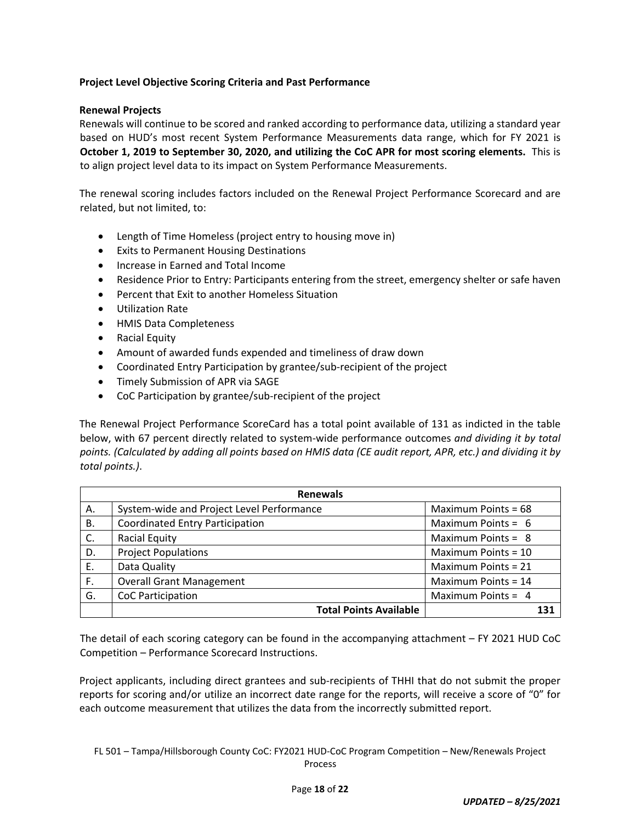## **Project Level Objective Scoring Criteria and Past Performance**

## **Renewal Projects**

Renewals will continue to be scored and ranked according to performance data, utilizing a standard year based on HUD's most recent System Performance Measurements data range, which for FY 2021 is **October 1, 2019 to September 30, 2020, and utilizing the CoC APR for most scoring elements.** This is to align project level data to its impact on System Performance Measurements.

The renewal scoring includes factors included on the Renewal Project Performance Scorecard and are related, but not limited, to:

- Length of Time Homeless (project entry to housing move in)
- Exits to Permanent Housing Destinations
- Increase in Earned and Total Income
- Residence Prior to Entry: Participants entering from the street, emergency shelter or safe haven
- Percent that Exit to another Homeless Situation
- Utilization Rate
- HMIS Data Completeness
- Racial Equity
- Amount of awarded funds expended and timeliness of draw down
- Coordinated Entry Participation by grantee/sub-recipient of the project
- Timely Submission of APR via SAGE
- CoC Participation by grantee/sub-recipient of the project

The Renewal Project Performance ScoreCard has a total point available of 131 as indicted in the table below, with 67 percent directly related to system‐wide performance outcomes *and dividing it by total* points. (Calculated by adding all points based on HMIS data (CE audit report, APR, etc.) and dividing it by *total points.)*.

| <b>Renewals</b> |                                           |                      |  |
|-----------------|-------------------------------------------|----------------------|--|
| А.              | System-wide and Project Level Performance | Maximum Points = 68  |  |
| В.              | <b>Coordinated Entry Participation</b>    | Maximum Points = $6$ |  |
| C.              | <b>Racial Equity</b>                      | Maximum Points = $8$ |  |
| D.              | <b>Project Populations</b>                | Maximum Points = 10  |  |
| Ε.              | Data Quality                              | Maximum Points = 21  |  |
| F.              | <b>Overall Grant Management</b>           | Maximum Points = 14  |  |
| G.              | CoC Participation                         | Maximum Points = 4   |  |
|                 | <b>Total Points Available</b>             | 131                  |  |

The detail of each scoring category can be found in the accompanying attachment – FY 2021 HUD CoC Competition – Performance Scorecard Instructions.

Project applicants, including direct grantees and sub‐recipients of THHI that do not submit the proper reports for scoring and/or utilize an incorrect date range for the reports, will receive a score of "0" for each outcome measurement that utilizes the data from the incorrectly submitted report.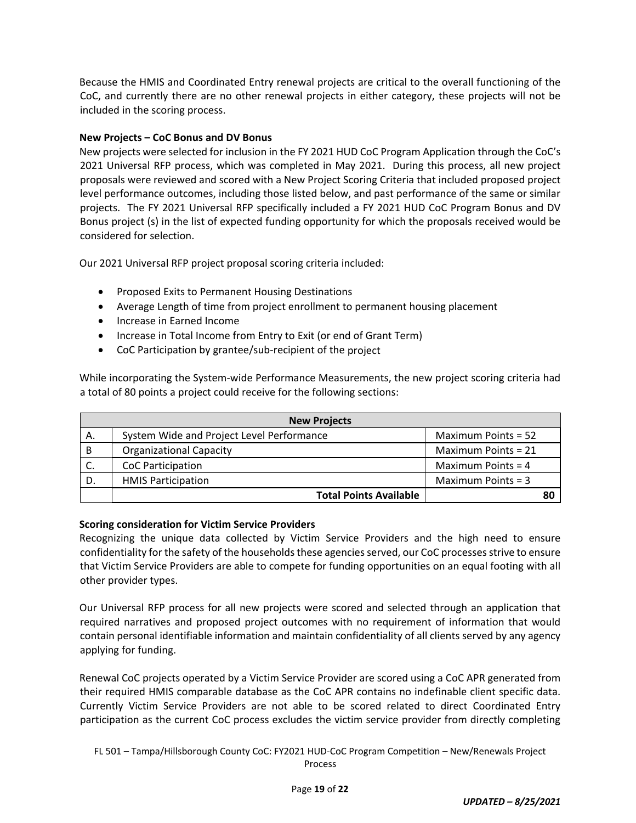Because the HMIS and Coordinated Entry renewal projects are critical to the overall functioning of the CoC, and currently there are no other renewal projects in either category, these projects will not be included in the scoring process.

#### **New Projects – CoC Bonus and DV Bonus**

New projects were selected for inclusion in the FY 2021 HUD CoC Program Application through the CoC's 2021 Universal RFP process, which was completed in May 2021. During this process, all new project proposals were reviewed and scored with a New Project Scoring Criteria that included proposed project level performance outcomes, including those listed below, and past performance of the same or similar projects. The FY 2021 Universal RFP specifically included a FY 2021 HUD CoC Program Bonus and DV Bonus project (s) in the list of expected funding opportunity for which the proposals received would be considered for selection.

Our 2021 Universal RFP project proposal scoring criteria included:

- Proposed Exits to Permanent Housing Destinations
- Average Length of time from project enrollment to permanent housing placement
- Increase in Earned Income
- Increase in Total Income from Entry to Exit (or end of Grant Term)
- CoC Participation by grantee/sub-recipient of the project

While incorporating the System-wide Performance Measurements, the new project scoring criteria had a total of 80 points a project could receive for the following sections:

| <b>New Projects</b> |                                           |                      |  |
|---------------------|-------------------------------------------|----------------------|--|
| Α.                  | System Wide and Project Level Performance | Maximum Points = 52  |  |
| B                   | <b>Organizational Capacity</b>            | Maximum Points = 21  |  |
|                     | CoC Participation                         | Maximum Points = $4$ |  |
| D.                  | <b>HMIS Participation</b>                 | Maximum Points = $3$ |  |
|                     | <b>Total Points Available</b>             |                      |  |

#### **Scoring consideration for Victim Service Providers**

Recognizing the unique data collected by Victim Service Providers and the high need to ensure confidentiality for the safety of the households these agencies served, our CoC processes strive to ensure that Victim Service Providers are able to compete for funding opportunities on an equal footing with all other provider types.

Our Universal RFP process for all new projects were scored and selected through an application that required narratives and proposed project outcomes with no requirement of information that would contain personal identifiable information and maintain confidentiality of all clients served by any agency applying for funding.

Renewal CoC projects operated by a Victim Service Provider are scored using a CoC APR generated from their required HMIS comparable database as the CoC APR contains no indefinable client specific data. Currently Victim Service Providers are not able to be scored related to direct Coordinated Entry participation as the current CoC process excludes the victim service provider from directly completing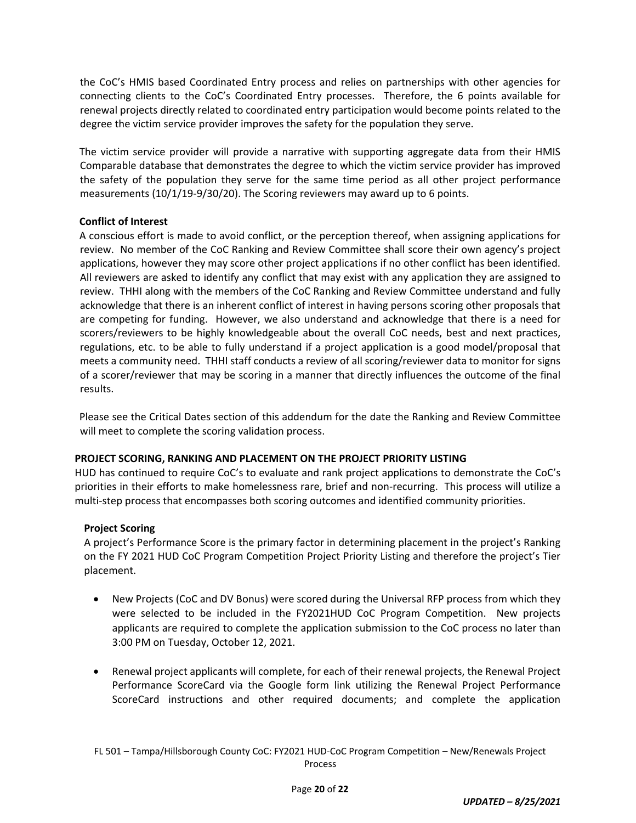the CoC's HMIS based Coordinated Entry process and relies on partnerships with other agencies for connecting clients to the CoC's Coordinated Entry processes. Therefore, the 6 points available for renewal projects directly related to coordinated entry participation would become points related to the degree the victim service provider improves the safety for the population they serve.

The victim service provider will provide a narrative with supporting aggregate data from their HMIS Comparable database that demonstrates the degree to which the victim service provider has improved the safety of the population they serve for the same time period as all other project performance measurements (10/1/19-9/30/20). The Scoring reviewers may award up to 6 points.

## **Conflict of Interest**

A conscious effort is made to avoid conflict, or the perception thereof, when assigning applications for review. No member of the CoC Ranking and Review Committee shall score their own agency's project applications, however they may score other project applications if no other conflict has been identified. All reviewers are asked to identify any conflict that may exist with any application they are assigned to review. THHI along with the members of the CoC Ranking and Review Committee understand and fully acknowledge that there is an inherent conflict of interest in having persons scoring other proposals that are competing for funding. However, we also understand and acknowledge that there is a need for scorers/reviewers to be highly knowledgeable about the overall CoC needs, best and next practices, regulations, etc. to be able to fully understand if a project application is a good model/proposal that meets a community need. THHI staff conducts a review of all scoring/reviewer data to monitor for signs of a scorer/reviewer that may be scoring in a manner that directly influences the outcome of the final results.

Please see the Critical Dates section of this addendum for the date the Ranking and Review Committee will meet to complete the scoring validation process.

# **PROJECT SCORING, RANKING AND PLACEMENT ON THE PROJECT PRIORITY LISTING**

HUD has continued to require CoC's to evaluate and rank project applications to demonstrate the CoC's priorities in their efforts to make homelessness rare, brief and non-recurring. This process will utilize a multi-step process that encompasses both scoring outcomes and identified community priorities.

# **Project Scoring**

A project's Performance Score is the primary factor in determining placement in the project's Ranking on the FY 2021 HUD CoC Program Competition Project Priority Listing and therefore the project's Tier placement.

- New Projects (CoC and DV Bonus) were scored during the Universal RFP process from which they were selected to be included in the FY2021HUD CoC Program Competition. New projects applicants are required to complete the application submission to the CoC process no later than 3:00 PM on Tuesday, October 12, 2021.
- Renewal project applicants will complete, for each of their renewal projects, the Renewal Project Performance ScoreCard via the Google form link utilizing the Renewal Project Performance ScoreCard instructions and other required documents; and complete the application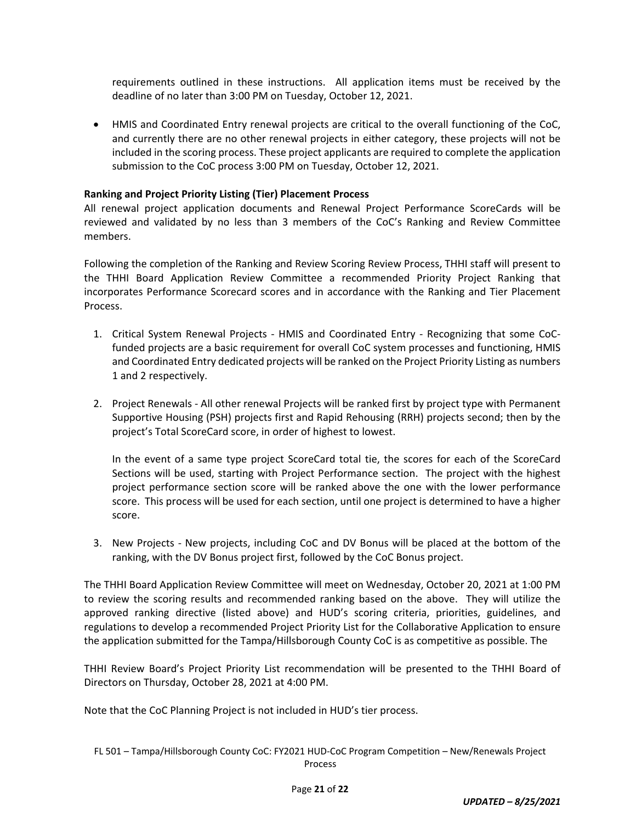requirements outlined in these instructions. All application items must be received by the deadline of no later than 3:00 PM on Tuesday, October 12, 2021.

 HMIS and Coordinated Entry renewal projects are critical to the overall functioning of the CoC, and currently there are no other renewal projects in either category, these projects will not be included in the scoring process. These project applicants are required to complete the application submission to the CoC process 3:00 PM on Tuesday, October 12, 2021.

## **Ranking and Project Priority Listing (Tier) Placement Process**

All renewal project application documents and Renewal Project Performance ScoreCards will be reviewed and validated by no less than 3 members of the CoC's Ranking and Review Committee members.

Following the completion of the Ranking and Review Scoring Review Process, THHI staff will present to the THHI Board Application Review Committee a recommended Priority Project Ranking that incorporates Performance Scorecard scores and in accordance with the Ranking and Tier Placement Process.

- 1. Critical System Renewal Projects ‐ HMIS and Coordinated Entry ‐ Recognizing that some CoC‐ funded projects are a basic requirement for overall CoC system processes and functioning, HMIS and Coordinated Entry dedicated projects will be ranked on the Project Priority Listing as numbers 1 and 2 respectively.
- 2. Project Renewals All other renewal Projects will be ranked first by project type with Permanent Supportive Housing (PSH) projects first and Rapid Rehousing (RRH) projects second; then by the project's Total ScoreCard score, in order of highest to lowest.

In the event of a same type project ScoreCard total tie, the scores for each of the ScoreCard Sections will be used, starting with Project Performance section. The project with the highest project performance section score will be ranked above the one with the lower performance score. This process will be used for each section, until one project is determined to have a higher score.

3. New Projects - New projects, including CoC and DV Bonus will be placed at the bottom of the ranking, with the DV Bonus project first, followed by the CoC Bonus project.

The THHI Board Application Review Committee will meet on Wednesday, October 20, 2021 at 1:00 PM to review the scoring results and recommended ranking based on the above. They will utilize the approved ranking directive (listed above) and HUD's scoring criteria, priorities, guidelines, and regulations to develop a recommended Project Priority List for the Collaborative Application to ensure the application submitted for the Tampa/Hillsborough County CoC is as competitive as possible. The

THHI Review Board's Project Priority List recommendation will be presented to the THHI Board of Directors on Thursday, October 28, 2021 at 4:00 PM.

Note that the CoC Planning Project is not included in HUD's tier process.

FL 501 – Tampa/Hillsborough County CoC: FY2021 HUD‐CoC Program Competition – New/Renewals Project **Process**